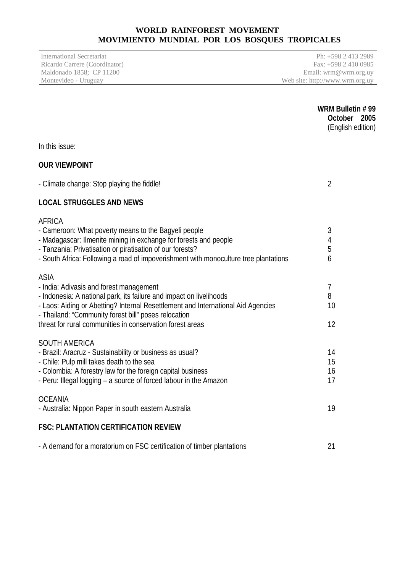# **WORLD RAINFOREST MOVEMENT MOVIMIENTO MUNDIAL POR LOS BOSQUES TROPICALES**

Ricardo Carrere (Coordinator)<br>Maldonado 1858; CP 11200

International Secretariat Ph: +598 2 413 2989<br>
Ricardo Carrere (Coordinator) Fax: +598 2 410 0985 Maldonado 1858; CP 11200 Email: wrm@wrm.org.uy<br>Montevideo - Uruguay Web site: http://www.wrm.org.uy Web site: http://www.wrm.org.uy

|                                                                                                                                                                                                                                                                                                                                        | WRM Bulletin #99<br>October 2005<br>(English edition) |
|----------------------------------------------------------------------------------------------------------------------------------------------------------------------------------------------------------------------------------------------------------------------------------------------------------------------------------------|-------------------------------------------------------|
| In this issue:                                                                                                                                                                                                                                                                                                                         |                                                       |
| <b>OUR VIEWPOINT</b>                                                                                                                                                                                                                                                                                                                   |                                                       |
| - Climate change: Stop playing the fiddle!                                                                                                                                                                                                                                                                                             | $\overline{2}$                                        |
| <b>LOCAL STRUGGLES AND NEWS</b>                                                                                                                                                                                                                                                                                                        |                                                       |
| <b>AFRICA</b><br>- Cameroon: What poverty means to the Bagyeli people<br>- Madagascar: Ilmenite mining in exchange for forests and people<br>- Tanzania: Privatisation or piratisation of our forests?<br>- South Africa: Following a road of impoverishment with monoculture tree plantations                                         | 3<br>4<br>5<br>6                                      |
| <b>ASIA</b><br>- India: Adivasis and forest management<br>- Indonesia: A national park, its failure and impact on livelihoods<br>- Laos: Aiding or Abetting? Internal Resettlement and International Aid Agencies<br>- Thailand: "Community forest bill" poses relocation<br>threat for rural communities in conservation forest areas | $\overline{1}$<br>8<br>10<br>12                       |
| <b>SOUTH AMERICA</b><br>- Brazil: Aracruz - Sustainability or business as usual?<br>- Chile: Pulp mill takes death to the sea<br>- Colombia: A forestry law for the foreign capital business<br>- Peru: Illegal logging - a source of forced labour in the Amazon                                                                      | 14<br>15<br>16<br>17                                  |
| <b>OCEANIA</b><br>- Australia: Nippon Paper in south eastern Australia                                                                                                                                                                                                                                                                 | 19                                                    |
| <b>FSC: PLANTATION CERTIFICATION REVIEW</b>                                                                                                                                                                                                                                                                                            |                                                       |
| - A demand for a moratorium on FSC certification of timber plantations                                                                                                                                                                                                                                                                 | 21                                                    |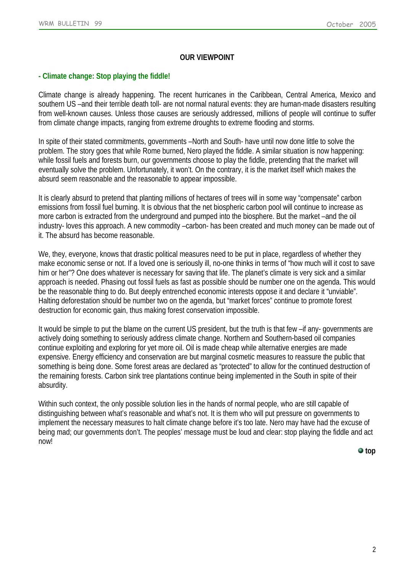### **OUR VIEWPOINT**

### <span id="page-1-0"></span>**- Climate change: Stop playing the fiddle!**

Climate change is already happening. The recent hurricanes in the Caribbean, Central America, Mexico and southern US –and their terrible death toll- are not normal natural events: they are human-made disasters resulting from well-known causes. Unless those causes are seriously addressed, millions of people will continue to suffer from climate change impacts, ranging from extreme droughts to extreme flooding and storms.

In spite of their stated commitments, governments –North and South- have until now done little to solve the problem. The story goes that while Rome burned, Nero played the fiddle. A similar situation is now happening: while fossil fuels and forests burn, our governments choose to play the fiddle, pretending that the market will eventually solve the problem. Unfortunately, it won't. On the contrary, it is the market itself which makes the absurd seem reasonable and the reasonable to appear impossible.

It is clearly absurd to pretend that planting millions of hectares of trees will in some way "compensate" carbon emissions from fossil fuel burning. It is obvious that the net biospheric carbon pool will continue to increase as more carbon is extracted from the underground and pumped into the biosphere. But the market –and the oil industry- loves this approach. A new commodity –carbon- has been created and much money can be made out of it. The absurd has become reasonable.

We, they, everyone, knows that drastic political measures need to be put in place, regardless of whether they make economic sense or not. If a loved one is seriously ill, no-one thinks in terms of "how much will it cost to save him or her"? One does whatever is necessary for saving that life. The planet's climate is very sick and a similar approach is needed. Phasing out fossil fuels as fast as possible should be number one on the agenda. This would be the reasonable thing to do. But deeply entrenched economic interests oppose it and declare it "unviable". Halting deforestation should be number two on the agenda, but "market forces" continue to promote forest destruction for economic gain, thus making forest conservation impossible.

It would be simple to put the blame on the current US president, but the truth is that few –if any- governments are actively doing something to seriously address climate change. Northern and Southern-based oil companies continue exploiting and exploring for yet more oil. Oil is made cheap while alternative energies are made expensive. Energy efficiency and conservation are but marginal cosmetic measures to reassure the public that something is being done. Some forest areas are declared as "protected" to allow for the continued destruction of the remaining forests. Carbon sink tree plantations continue being implemented in the South in spite of their absurdity.

Within such context, the only possible solution lies in the hands of normal people, who are still capable of distinguishing between what's reasonable and what's not. It is them who will put pressure on governments to implement the necessary measures to halt climate change before it's too late. Nero may have had the excuse of being mad; our governments don't. The peoples' message must be loud and clear: stop playing the fiddle and act now!

 $\bullet$  top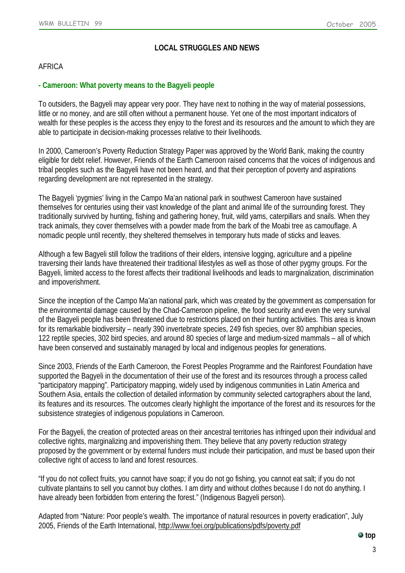# **LOCAL STRUGGLES AND NEWS**

# AFRICA

### <span id="page-2-0"></span>**- Cameroon: What poverty means to the Bagyeli people**

To outsiders, the Bagyeli may appear very poor. They have next to nothing in the way of material possessions, little or no money, and are still often without a permanent house. Yet one of the most important indicators of wealth for these peoples is the access they enjoy to the forest and its resources and the amount to which they are able to participate in decision-making processes relative to their livelihoods.

In 2000, Cameroon's Poverty Reduction Strategy Paper was approved by the World Bank, making the country eligible for debt relief. However, Friends of the Earth Cameroon raised concerns that the voices of indigenous and tribal peoples such as the Bagyeli have not been heard, and that their perception of poverty and aspirations regarding development are not represented in the strategy.

The Bagyeli 'pygmies' living in the Campo Ma'an national park in southwest Cameroon have sustained themselves for centuries using their vast knowledge of the plant and animal life of the surrounding forest. They traditionally survived by hunting, fishing and gathering honey, fruit, wild yams, caterpillars and snails. When they track animals, they cover themselves with a powder made from the bark of the Moabi tree as camouflage. A nomadic people until recently, they sheltered themselves in temporary huts made of sticks and leaves.

Although a few Bagyeli still follow the traditions of their elders, intensive logging, agriculture and a pipeline traversing their lands have threatened their traditional lifestyles as well as those of other pygmy groups. For the Bagyeli, limited access to the forest affects their traditional livelihoods and leads to marginalization, discrimination and impoverishment.

Since the inception of the Campo Ma'an national park, which was created by the government as compensation for the environmental damage caused by the Chad-Cameroon pipeline, the food security and even the very survival of the Bagyeli people has been threatened due to restrictions placed on their hunting activities. This area is known for its remarkable biodiversity – nearly 390 invertebrate species, 249 fish species, over 80 amphibian species, 122 reptile species, 302 bird species, and around 80 species of large and medium-sized mammals – all of which have been conserved and sustainably managed by local and indigenous peoples for generations.

Since 2003, Friends of the Earth Cameroon, the Forest Peoples Programme and the Rainforest Foundation have supported the Bagyeli in the documentation of their use of the forest and its resources through a process called "participatory mapping". Participatory mapping, widely used by indigenous communities in Latin America and Southern Asia, entails the collection of detailed information by community selected cartographers about the land, its features and its resources. The outcomes clearly highlight the importance of the forest and its resources for the subsistence strategies of indigenous populations in Cameroon.

For the Bagyeli, the creation of protected areas on their ancestral territories has infringed upon their individual and collective rights, marginalizing and impoverishing them. They believe that any poverty reduction strategy proposed by the government or by external funders must include their participation, and must be based upon their collective right of access to land and forest resources.

"If you do not collect fruits, you cannot have soap; if you do not go fishing, you cannot eat salt; if you do not cultivate plantains to sell you cannot buy clothes. I am dirty and without clothes because I do not do anything. I have already been forbidden from entering the forest." (Indigenous Bagyeli person).

Adapted from "Nature: Poor people's wealth. The importance of natural resources in poverty eradication", July 2005, Friends of the Earth International,<http://www.foei.org/publications/pdfs/poverty.pdf>

**top**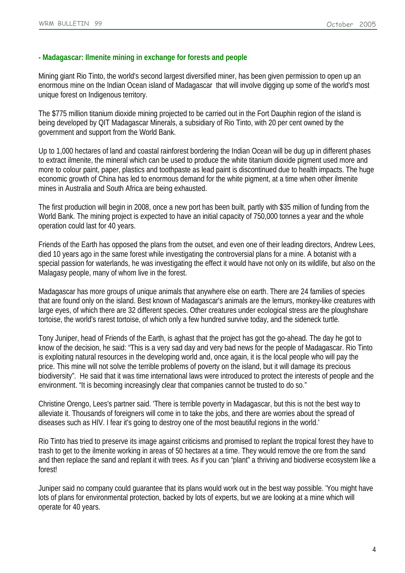## <span id="page-3-0"></span>**- Madagascar: Ilmenite mining in exchange for forests and people**

Mining giant Rio Tinto, the world's second largest diversified miner, has been given permission to open up an enormous mine on the Indian Ocean island of Madagascar that will involve digging up some of the world's most unique forest on Indigenous territory.

The \$775 million titanium dioxide mining projected to be carried out in the Fort Dauphin region of the island is being developed by QIT Madagascar Minerals, a subsidiary of Rio Tinto, with 20 per cent owned by the government and support from the World Bank.

Up to 1,000 hectares of land and coastal rainforest bordering the Indian Ocean will be dug up in different phases to extract ilmenite, the mineral which can be used to produce the white titanium dioxide pigment used more and more to colour paint, paper, plastics and toothpaste as lead paint is discontinued due to health impacts. The huge economic growth of China has led to enormous demand for the white pigment, at a time when other ilmenite mines in Australia and South Africa are being exhausted.

The first production will begin in 2008, once a new port has been built, partly with \$35 million of funding from the World Bank. The mining project is expected to have an initial capacity of 750,000 tonnes a year and the whole operation could last for 40 years.

Friends of the Earth has opposed the plans from the outset, and even one of their leading directors, Andrew Lees, died 10 years ago in the same forest while investigating the controversial plans for a mine. A botanist with a special passion for waterlands, he was investigating the effect it would have not only on its wildlife, but also on the Malagasy people, many of whom live in the forest.

Madagascar has more groups of unique animals that anywhere else on earth. There are 24 families of species that are found only on the island. Best known of Madagascar's animals are the lemurs, monkey-like creatures with large eyes, of which there are 32 different species. Other creatures under ecological stress are the ploughshare tortoise, the world's rarest tortoise, of which only a few hundred survive today, and the sideneck turtle.

Tony Juniper, head of Friends of the Earth, is aghast that the project has got the go-ahead. The day he got to know of the decision, he said: "This is a very sad day and very bad news for the people of Madagascar. Rio Tinto is exploiting natural resources in the developing world and, once again, it is the local people who will pay the price. This mine will not solve the terrible problems of poverty on the island, but it will damage its precious biodiversity". He said that it was time international laws were introduced to protect the interests of people and the environment. "It is becoming increasingly clear that companies cannot be trusted to do so."

Christine Orengo, Lees's partner said. 'There is terrible poverty in Madagascar, but this is not the best way to alleviate it. Thousands of foreigners will come in to take the jobs, and there are worries about the spread of diseases such as HIV. I fear it's going to destroy one of the most beautiful regions in the world.'

Rio Tinto has tried to preserve its image against criticisms and promised to replant the tropical forest they have to trash to get to the ilmenite working in areas of 50 hectares at a time. They would remove the ore from the sand and then replace the sand and replant it with trees. As if you can "plant" a thriving and biodiverse ecosystem like a forest!

Juniper said no company could guarantee that its plans would work out in the best way possible. 'You might have lots of plans for environmental protection, backed by lots of experts, but we are looking at a mine which will operate for 40 years.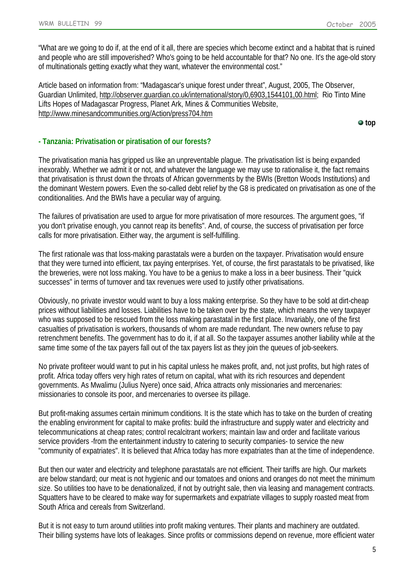"What are we going to do if, at the end of it all, there are species which become extinct and a habitat that is ruined and people who are still impoverished? Who's going to be held accountable for that? No one. It's the age-old story of multinationals getting exactly what they want, whatever the environmental cost."

Article based on information from: "Madagascar's unique forest under threat", August, 2005, The Observer, Guardian Unlimited, [http://observer.guardian.co.uk/international/story/0,6903,1544101,00.html;](http://observer.guardian.co.uk/international/story/0,6903,1544101,00.html) Rio Tinto Mine Lifts Hopes of Madagascar Progress, Planet Ark, Mines & Communities Website, <http://www.minesandcommunities.org/Action/press704.htm>

**top**

### <span id="page-4-0"></span>**- Tanzania: Privatisation or piratisation of our forests?**

The privatisation mania has gripped us like an unpreventable plague. The privatisation list is being expanded inexorably. Whether we admit it or not, and whatever the language we may use to rationalise it, the fact remains that privatisation is thrust down the throats of African governments by the BWIs (Bretton Woods Institutions) and the dominant Western powers. Even the so-called debt relief by the G8 is predicated on privatisation as one of the conditionalities. And the BWIs have a peculiar way of arguing.

The failures of privatisation are used to argue for more privatisation of more resources. The argument goes, "if you don't privatise enough, you cannot reap its benefits". And, of course, the success of privatisation per force calls for more privatisation. Either way, the argument is self-fulfilling.

The first rationale was that loss-making parastatals were a burden on the taxpayer. Privatisation would ensure that they were turned into efficient, tax paying enterprises. Yet, of course, the first parastatals to be privatised, like the breweries, were not loss making. You have to be a genius to make a loss in a beer business. Their "quick successes" in terms of turnover and tax revenues were used to justify other privatisations.

Obviously, no private investor would want to buy a loss making enterprise. So they have to be sold at dirt-cheap prices without liabilities and losses. Liabilities have to be taken over by the state, which means the very taxpayer who was supposed to be rescued from the loss making parastatal in the first place. Invariably, one of the first casualties of privatisation is workers, thousands of whom are made redundant. The new owners refuse to pay retrenchment benefits. The government has to do it, if at all. So the taxpayer assumes another liability while at the same time some of the tax payers fall out of the tax payers list as they join the queues of job-seekers.

No private profiteer would want to put in his capital unless he makes profit, and, not just profits, but high rates of profit. Africa today offers very high rates of return on capital, what with its rich resources and dependent governments. As Mwalimu (Julius Nyere) once said, Africa attracts only missionaries and mercenaries: missionaries to console its poor, and mercenaries to oversee its pillage.

But profit-making assumes certain minimum conditions. It is the state which has to take on the burden of creating the enabling environment for capital to make profits: build the infrastructure and supply water and electricity and telecommunications at cheap rates; control recalcitrant workers; maintain law and order and facilitate various service providers -from the entertainment industry to catering to security companies- to service the new "community of expatriates". It is believed that Africa today has more expatriates than at the time of independence.

But then our water and electricity and telephone parastatals are not efficient. Their tariffs are high. Our markets are below standard; our meat is not hygienic and our tomatoes and onions and oranges do not meet the minimum size. So utilities too have to be denationalized, if not by outright sale, then via leasing and management contracts. Squatters have to be cleared to make way for supermarkets and expatriate villages to supply roasted meat from South Africa and cereals from Switzerland.

But it is not easy to turn around utilities into profit making ventures. Their plants and machinery are outdated. Their billing systems have lots of leakages. Since profits or commissions depend on revenue, more efficient water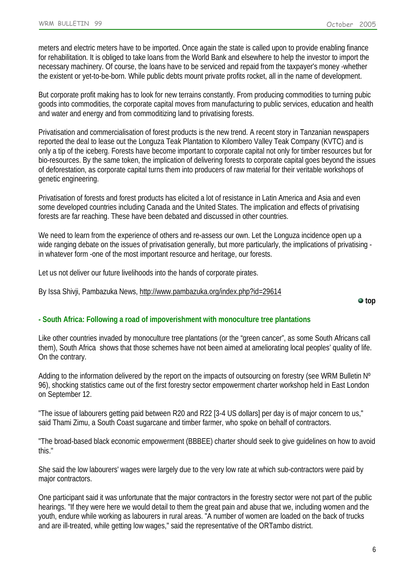meters and electric meters have to be imported. Once again the state is called upon to provide enabling finance for rehabilitation. It is obliged to take loans from the World Bank and elsewhere to help the investor to import the necessary machinery. Of course, the loans have to be serviced and repaid from the taxpayer's money -whether the existent or yet-to-be-born. While public debts mount private profits rocket, all in the name of development.

But corporate profit making has to look for new terrains constantly. From producing commodities to turning pubic goods into commodities, the corporate capital moves from manufacturing to public services, education and health and water and energy and from commoditizing land to privatising forests.

Privatisation and commercialisation of forest products is the new trend. A recent story in Tanzanian newspapers reported the deal to lease out the Longuza Teak Plantation to Kilombero Valley Teak Company (KVTC) and is only a tip of the iceberg. Forests have become important to corporate capital not only for timber resources but for bio-resources. By the same token, the implication of delivering forests to corporate capital goes beyond the issues of deforestation, as corporate capital turns them into producers of raw material for their veritable workshops of genetic engineering.

Privatisation of forests and forest products has elicited a lot of resistance in Latin America and Asia and even some developed countries including Canada and the United States. The implication and effects of privatising forests are far reaching. These have been debated and discussed in other countries.

We need to learn from the experience of others and re-assess our own. Let the Longuza incidence open up a wide ranging debate on the issues of privatisation generally, but more particularly, the implications of privatising in whatever form -one of the most important resource and heritage, our forests.

Let us not deliver our future livelihoods into the hands of corporate pirates.

By Issa Shivji, Pambazuka News,<http://www.pambazuka.org/index.php?id=29614>

**top**

### <span id="page-5-0"></span>**- South Africa: Following a road of impoverishment with monoculture tree plantations**

Like other countries invaded by monoculture tree plantations (or the "green cancer", as some South Africans call them), South Africa shows that those schemes have not been aimed at ameliorating local peoples' quality of life. On the contrary.

Adding to the information delivered by the report on the impacts of outsourcing on forestry (see WRM Bulletin N° 96), shocking statistics came out of the first forestry sector empowerment charter workshop held in East London on September 12.

"The issue of labourers getting paid between R20 and R22 [3-4 US dollars] per day is of major concern to us," said Thami Zimu, a South Coast sugarcane and timber farmer, who spoke on behalf of contractors.

"The broad-based black economic empowerment (BBBEE) charter should seek to give guidelines on how to avoid this."

She said the low labourers' wages were largely due to the very low rate at which sub-contractors were paid by major contractors.

One participant said it was unfortunate that the major contractors in the forestry sector were not part of the public hearings. "If they were here we would detail to them the great pain and abuse that we, including women and the youth, endure while working as labourers in rural areas. "A number of women are loaded on the back of trucks and are ill-treated, while getting low wages," said the representative of the ORTambo district.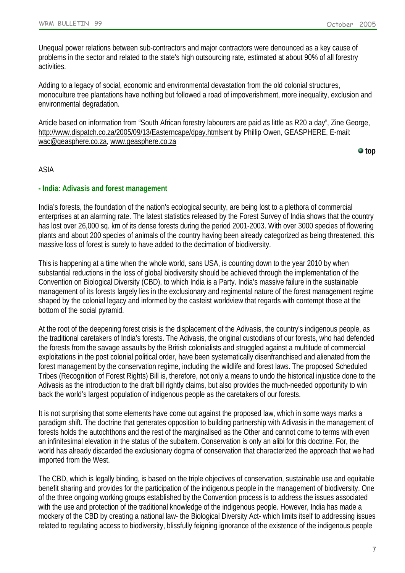Unequal power relations between sub-contractors and major contractors were denounced as a key cause of problems in the sector and related to the state's high outsourcing rate, estimated at about 90% of all forestry activities.

Adding to a legacy of social, economic and environmental devastation from the old colonial structures, monoculture tree plantations have nothing but followed a road of impoverishment, more inequality, exclusion and environmental degradation.

Article based on information from "South African forestry labourers are paid as little as R20 a day", Zine George, [http://www.dispatch.co.za/2005/09/13/Easterncape/dpay.htmls](http://www.dispatch.co.za/2005/09/13/Easterncape/dpay.html)ent by Phillip Owen, GEASPHERE, E-mail: [wac@geasphere.co.za,](mailto:wac@geasphere.co.za?subject=Bulletin%2099) [www.geasphere.co.za](http://www.geasphere.co.za/)

**top**

### ASIA

#### <span id="page-6-0"></span>**- India: Adivasis and forest management**

India's forests, the foundation of the nation's ecological security, are being lost to a plethora of commercial enterprises at an alarming rate. The latest statistics released by the Forest Survey of India shows that the country has lost over 26,000 sq. km of its dense forests during the period 2001-2003. With over 3000 species of flowering plants and about 200 species of animals of the country having been already categorized as being threatened, this massive loss of forest is surely to have added to the decimation of biodiversity.

This is happening at a time when the whole world, sans USA, is counting down to the year 2010 by when substantial reductions in the loss of global biodiversity should be achieved through the implementation of the Convention on Biological Diversity (CBD), to which India is a Party. India's massive failure in the sustainable management of its forests largely lies in the exclusionary and regimental nature of the forest management regime shaped by the colonial legacy and informed by the casteist worldview that regards with contempt those at the bottom of the social pyramid.

At the root of the deepening forest crisis is the displacement of the Adivasis, the country's indigenous people, as the traditional caretakers of India's forests. The Adivasis, the original custodians of our forests, who had defended the forests from the savage assaults by the British colonialists and struggled against a multitude of commercial exploitations in the post colonial political order, have been systematically disenfranchised and alienated from the forest management by the conservation regime, including the wildlife and forest laws. The proposed Scheduled Tribes (Recognition of Forest Rights) Bill is, therefore, not only a means to undo the historical injustice done to the Adivasis as the introduction to the draft bill rightly claims, but also provides the much-needed opportunity to win back the world's largest population of indigenous people as the caretakers of our forests.

It is not surprising that some elements have come out against the proposed law, which in some ways marks a paradigm shift. The doctrine that generates opposition to building partnership with Adivasis in the management of forests holds the autochthons and the rest of the marginalised as the Other and cannot come to terms with even an infinitesimal elevation in the status of the subaltern. Conservation is only an alibi for this doctrine. For, the world has already discarded the exclusionary dogma of conservation that characterized the approach that we had imported from the West.

The CBD, which is legally binding, is based on the triple objectives of conservation, sustainable use and equitable benefit sharing and provides for the participation of the indigenous people in the management of biodiversity. One of the three ongoing working groups established by the Convention process is to address the issues associated with the use and protection of the traditional knowledge of the indigenous people. However, India has made a mockery of the CBD by creating a national law- the Biological Diversity Act- which limits itself to addressing issues related to regulating access to biodiversity, blissfully feigning ignorance of the existence of the indigenous people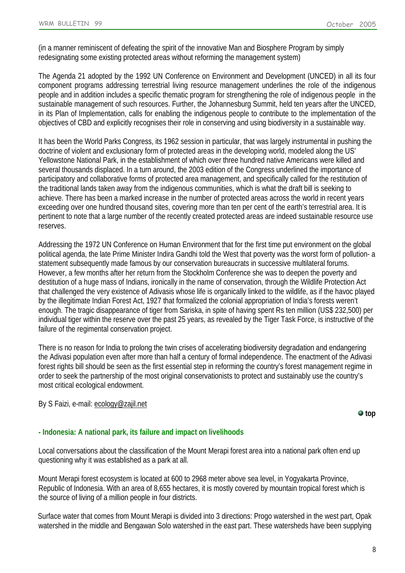(in a manner reminiscent of defeating the spirit of the innovative Man and Biosphere Program by simply redesignating some existing protected areas without reforming the management system)

The Agenda 21 adopted by the 1992 UN Conference on Environment and Development (UNCED) in all its four component programs addressing terrestrial living resource management underlines the role of the indigenous people and in addition includes a specific thematic program for strengthening the role of indigenous people in the sustainable management of such resources. Further, the Johannesburg Summit, held ten years after the UNCED, in its Plan of Implementation, calls for enabling the indigenous people to contribute to the implementation of the objectives of CBD and explicitly recognises their role in conserving and using biodiversity in a sustainable way.

It has been the World Parks Congress, its 1962 session in particular, that was largely instrumental in pushing the doctrine of violent and exclusionary form of protected areas in the developing world, modeled along the US' Yellowstone National Park, in the establishment of which over three hundred native Americans were killed and several thousands displaced. In a turn around, the 2003 edition of the Congress underlined the importance of participatory and collaborative forms of protected area management, and specifically called for the restitution of the traditional lands taken away from the indigenous communities, which is what the draft bill is seeking to achieve. There has been a marked increase in the number of protected areas across the world in recent years exceeding over one hundred thousand sites, covering more than ten per cent of the earth's terrestrial area. It is pertinent to note that a large number of the recently created protected areas are indeed sustainable resource use reserves.

Addressing the 1972 UN Conference on Human Environment that for the first time put environment on the global political agenda, the late Prime Minister Indira Gandhi told the West that poverty was the worst form of pollution- a statement subsequently made famous by our conservation bureaucrats in successive multilateral forums. However, a few months after her return from the Stockholm Conference she was to deepen the poverty and destitution of a huge mass of Indians, ironically in the name of conservation, through the Wildlife Protection Act that challenged the very existence of Adivasis whose life is organically linked to the wildlife, as if the havoc played by the illegitimate Indian Forest Act, 1927 that formalized the colonial appropriation of India's forests weren't enough. The tragic disappearance of tiger from Sariska, in spite of having spent Rs ten million (US\$ 232,500) per individual tiger within the reserve over the past 25 years, as revealed by the Tiger Task Force, is instructive of the failure of the regimental conservation project.

There is no reason for India to prolong the twin crises of accelerating biodiversity degradation and endangering the Adivasi population even after more than half a century of formal independence. The enactment of the Adivasi forest rights bill should be seen as the first essential step in reforming the country's forest management regime in order to seek the partnership of the most original conservationists to protect and sustainably use the country's most critical ecological endowment.

### By S Faizi, e-mail: [ecology@zajil.net](mailto:ecology@zajil.net?subject=Bulletin%2099%20)

**top**

# <span id="page-7-0"></span>**- Indonesia: A national park, its failure and impact on livelihoods**

Local conversations about the classification of the Mount Merapi forest area into a national park often end up questioning why it was established as a park at all.

Mount Merapi forest ecosystem is located at 600 to 2968 meter above sea level, in Yogyakarta Province, Republic of Indonesia. With an area of 8,655 hectares, it is mostly covered by mountain tropical forest which is the source of living of a million people in four districts.

Surface water that comes from Mount Merapi is divided into 3 directions: Progo watershed in the west part, Opak watershed in the middle and Bengawan Solo watershed in the east part. These watersheds have been supplying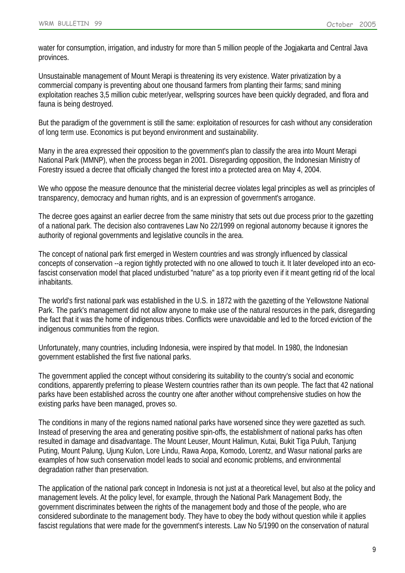water for consumption, irrigation, and industry for more than 5 million people of the Jogjakarta and Central Java provinces.

Unsustainable management of Mount Merapi is threatening its very existence. Water privatization by a commercial company is preventing about one thousand farmers from planting their farms; sand mining exploitation reaches 3,5 million cubic meter/year, wellspring sources have been quickly degraded, and flora and fauna is being destroyed.

But the paradigm of the government is still the same: exploitation of resources for cash without any consideration of long term use. Economics is put beyond environment and sustainability.

Many in the area expressed their opposition to the government's plan to classify the area into Mount Merapi National Park (MMNP), when the process began in 2001. Disregarding opposition, the Indonesian Ministry of Forestry issued a decree that officially changed the forest into a protected area on May 4, 2004.

We who oppose the measure denounce that the ministerial decree violates legal principles as well as principles of transparency, democracy and human rights, and is an expression of government's arrogance.

The decree goes against an earlier decree from the same ministry that sets out due process prior to the gazetting of a national park. The decision also contravenes Law No 22/1999 on regional autonomy because it ignores the authority of regional governments and legislative councils in the area.

The concept of national park first emerged in Western countries and was strongly influenced by classical concepts of conservation --a region tightly protected with no one allowed to touch it. It later developed into an ecofascist conservation model that placed undisturbed "nature" as a top priority even if it meant getting rid of the local inhabitants.

The world's first national park was established in the U.S. in 1872 with the gazetting of the Yellowstone National Park. The park's management did not allow anyone to make use of the natural resources in the park, disregarding the fact that it was the home of indigenous tribes. Conflicts were unavoidable and led to the forced eviction of the indigenous communities from the region.

Unfortunately, many countries, including Indonesia, were inspired by that model. In 1980, the Indonesian government established the first five national parks.

The government applied the concept without considering its suitability to the country's social and economic conditions, apparently preferring to please Western countries rather than its own people. The fact that 42 national parks have been established across the country one after another without comprehensive studies on how the existing parks have been managed, proves so.

The conditions in many of the regions named national parks have worsened since they were gazetted as such. Instead of preserving the area and generating positive spin-offs, the establishment of national parks has often resulted in damage and disadvantage. The Mount Leuser, Mount Halimun, Kutai, Bukit Tiga Puluh, Tanjung Puting, Mount Palung, Ujung Kulon, Lore Lindu, Rawa Aopa, Komodo, Lorentz, and Wasur national parks are examples of how such conservation model leads to social and economic problems, and environmental degradation rather than preservation.

The application of the national park concept in Indonesia is not just at a theoretical level, but also at the policy and management levels. At the policy level, for example, through the National Park Management Body, the government discriminates between the rights of the management body and those of the people, who are considered subordinate to the management body. They have to obey the body without question while it applies fascist regulations that were made for the government's interests. Law No 5/1990 on the conservation of natural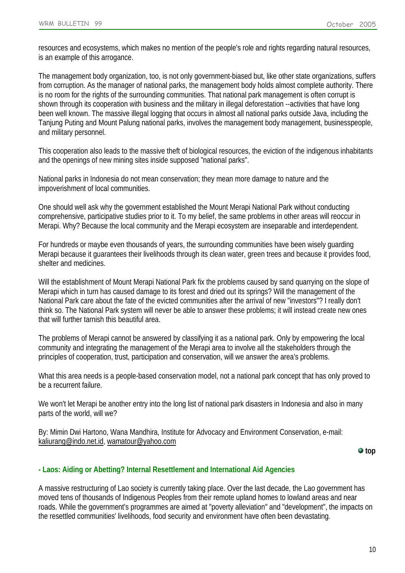resources and ecosystems, which makes no mention of the people's role and rights regarding natural resources, is an example of this arrogance.

The management body organization, too, is not only government-biased but, like other state organizations, suffers from corruption. As the manager of national parks, the management body holds almost complete authority. There is no room for the rights of the surrounding communities. That national park management is often corrupt is shown through its cooperation with business and the military in illegal deforestation --activities that have long been well known. The massive illegal logging that occurs in almost all national parks outside Java, including the Tanjung Puting and Mount Palung national parks, involves the management body management, businesspeople, and military personnel.

This cooperation also leads to the massive theft of biological resources, the eviction of the indigenous inhabitants and the openings of new mining sites inside supposed "national parks".

National parks in Indonesia do not mean conservation; they mean more damage to nature and the impoverishment of local communities.

One should well ask why the government established the Mount Merapi National Park without conducting comprehensive, participative studies prior to it. To my belief, the same problems in other areas will reoccur in Merapi. Why? Because the local community and the Merapi ecosystem are inseparable and interdependent.

For hundreds or maybe even thousands of years, the surrounding communities have been wisely guarding Merapi because it guarantees their livelihoods through its clean water, green trees and because it provides food, shelter and medicines.

Will the establishment of Mount Merapi National Park fix the problems caused by sand quarrying on the slope of Merapi which in turn has caused damage to its forest and dried out its springs? Will the management of the National Park care about the fate of the evicted communities after the arrival of new "investors"? I really don't think so. The National Park system will never be able to answer these problems; it will instead create new ones that will further tarnish this beautiful area.

The problems of Merapi cannot be answered by classifying it as a national park. Only by empowering the local community and integrating the management of the Merapi area to involve all the stakeholders through the principles of cooperation, trust, participation and conservation, will we answer the area's problems.

What this area needs is a people-based conservation model, not a national park concept that has only proved to be a recurrent failure.

We won't let Merapi be another entry into the long list of national park disasters in Indonesia and also in many parts of the world, will we?

By: Mimin Dwi Hartono, Wana Mandhira, Institute for Advocacy and Environment Conservation, e-mail: [kaliurang@indo.net.id,](mailto:kaliurang@indo.net.id) [wamatour@yahoo.com](mailto:wamatour@yahoo.com)

**top**

# <span id="page-9-0"></span>**- Laos: Aiding or Abetting? Internal Resettlement and International Aid Agencies**

A massive restructuring of Lao society is currently taking place. Over the last decade, the Lao government has moved tens of thousands of Indigenous Peoples from their remote upland homes to lowland areas and near roads. While the government's programmes are aimed at "poverty alleviation" and "development", the impacts on the resettled communities' livelihoods, food security and environment have often been devastating.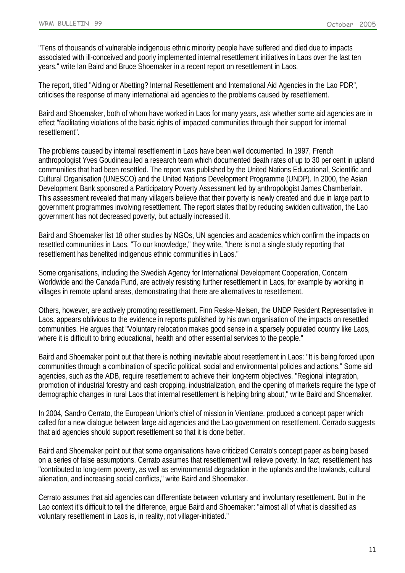"Tens of thousands of vulnerable indigenous ethnic minority people have suffered and died due to impacts associated with ill-conceived and poorly implemented internal resettlement initiatives in Laos over the last ten years," write Ian Baird and Bruce Shoemaker in a recent report on resettlement in Laos.

The report, titled "Aiding or Abetting? Internal Resettlement and International Aid Agencies in the Lao PDR", criticises the response of many international aid agencies to the problems caused by resettlement.

Baird and Shoemaker, both of whom have worked in Laos for many years, ask whether some aid agencies are in effect "facilitating violations of the basic rights of impacted communities through their support for internal resettlement".

The problems caused by internal resettlement in Laos have been well documented. In 1997, French anthropologist Yves Goudineau led a research team which documented death rates of up to 30 per cent in upland communities that had been resettled. The report was published by the United Nations Educational, Scientific and Cultural Organisation (UNESCO) and the United Nations Development Programme (UNDP). In 2000, the Asian Development Bank sponsored a Participatory Poverty Assessment led by anthropologist James Chamberlain. This assessment revealed that many villagers believe that their poverty is newly created and due in large part to government programmes involving resettlement. The report states that by reducing swidden cultivation, the Lao government has not decreased poverty, but actually increased it.

Baird and Shoemaker list 18 other studies by NGOs, UN agencies and academics which confirm the impacts on resettled communities in Laos. "To our knowledge," they write, "there is not a single study reporting that resettlement has benefited indigenous ethnic communities in Laos."

Some organisations, including the Swedish Agency for International Development Cooperation, Concern Worldwide and the Canada Fund, are actively resisting further resettlement in Laos, for example by working in villages in remote upland areas, demonstrating that there are alternatives to resettlement.

Others, however, are actively promoting resettlement. Finn Reske-Nielsen, the UNDP Resident Representative in Laos, appears oblivious to the evidence in reports published by his own organisation of the impacts on resettled communities. He argues that "Voluntary relocation makes good sense in a sparsely populated country like Laos, where it is difficult to bring educational, health and other essential services to the people."

Baird and Shoemaker point out that there is nothing inevitable about resettlement in Laos: "It is being forced upon communities through a combination of specific political, social and environmental policies and actions." Some aid agencies, such as the ADB, require resettlement to achieve their long-term objectives. "Regional integration, promotion of industrial forestry and cash cropping, industrialization, and the opening of markets require the type of demographic changes in rural Laos that internal resettlement is helping bring about," write Baird and Shoemaker.

In 2004, Sandro Cerrato, the European Union's chief of mission in Vientiane, produced a concept paper which called for a new dialogue between large aid agencies and the Lao government on resettlement. Cerrado suggests that aid agencies should support resettlement so that it is done better.

Baird and Shoemaker point out that some organisations have criticized Cerrato's concept paper as being based on a series of false assumptions. Cerrato assumes that resettlement will relieve poverty. In fact, resettlement has "contributed to long-term poverty, as well as environmental degradation in the uplands and the lowlands, cultural alienation, and increasing social conflicts," write Baird and Shoemaker.

Cerrato assumes that aid agencies can differentiate between voluntary and involuntary resettlement. But in the Lao context it's difficult to tell the difference, argue Baird and Shoemaker: "almost all of what is classified as voluntary resettlement in Laos is, in reality, not villager-initiated."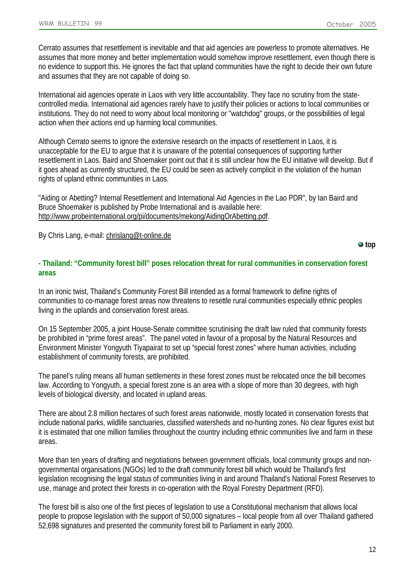Cerrato assumes that resettlement is inevitable and that aid agencies are powerless to promote alternatives. He assumes that more money and better implementation would somehow improve resettlement, even though there is no evidence to support this. He ignores the fact that upland communities have the right to decide their own future and assumes that they are not capable of doing so.

International aid agencies operate in Laos with very little accountability. They face no scrutiny from the statecontrolled media. International aid agencies rarely have to justify their policies or actions to local communities or institutions. They do not need to worry about local monitoring or "watchdog" groups, or the possibilities of legal action when their actions end up harming local communities.

Although Cerrato seems to ignore the extensive research on the impacts of resettlement in Laos, it is unacceptable for the EU to argue that it is unaware of the potential consequences of supporting further resettlement in Laos. Baird and Shoemaker point out that it is still unclear how the EU initiative will develop. But if it goes ahead as currently structured, the EU could be seen as actively complicit in the violation of the human rights of upland ethnic communities in Laos.

"Aiding or Abetting? Internal Resettlement and International Aid Agencies in the Lao PDR", by Ian Baird and Bruce Shoemaker is published by Probe International and is available here: [http://www.probeinternational.org/pi/documents/mekong/AidingOrAbetting.pdf.](http://www.probeinternational.org/pi/documents/mekong/AidingOrAbetting.pdf)

By Chris Lang, e-mail: [chrislang@t-online.de](mailto:chrislang@t-online.de)

#### **top**

### <span id="page-11-0"></span>**- Thailand: "Community forest bill" poses relocation threat for rural communities in conservation forest areas**

In an ironic twist, Thailand's Community Forest Bill intended as a formal framework to define rights of communities to co-manage forest areas now threatens to resettle rural communities especially ethnic peoples living in the uplands and conservation forest areas.

On 15 September 2005, a joint House-Senate committee scrutinising the draft law ruled that community forests be prohibited in "prime forest areas". The panel voted in favour of a proposal by the Natural Resources and Environment Minister Yongyuth Tiyapairat to set up "special forest zones" where human activities, including establishment of community forests, are prohibited.

The panel's ruling means all human settlements in these forest zones must be relocated once the bill becomes law. According to Yongyuth, a special forest zone is an area with a slope of more than 30 degrees, with high levels of biological diversity, and located in upland areas.

There are about 2.8 million hectares of such forest areas nationwide, mostly located in conservation forests that include national parks, wildlife sanctuaries, classified watersheds and no-hunting zones. No clear figures exist but it is estimated that one million families throughout the country including ethnic communities live and farm in these areas.

More than ten years of drafting and negotiations between government officials, local community groups and nongovernmental organisations (NGOs) led to the draft community forest bill which would be Thailand's first legislation recognising the legal status of communities living in and around Thailand's National Forest Reserves to use, manage and protect their forests in co-operation with the Royal Forestry Department (RFD).

The forest bill is also one of the first pieces of legislation to use a Constitutional mechanism that allows local people to propose legislation with the support of 50,000 signatures – local people from all over Thailand gathered 52,698 signatures and presented the community forest bill to Parliament in early 2000.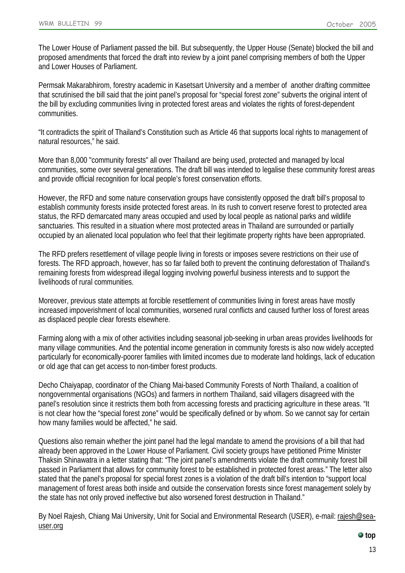The Lower House of Parliament passed the bill. But subsequently, the Upper House (Senate) blocked the bill and proposed amendments that forced the draft into review by a joint panel comprising members of both the Upper and Lower Houses of Parliament.

Permsak Makarabhirom, forestry academic in Kasetsart University and a member of another drafting committee that scrutinised the bill said that the joint panel's proposal for "special forest zone" subverts the original intent of the bill by excluding communities living in protected forest areas and violates the rights of forest-dependent communities.

"It contradicts the spirit of Thailand's Constitution such as Article 46 that supports local rights to management of natural resources," he said.

More than 8,000 "community forests" all over Thailand are being used, protected and managed by local communities, some over several generations. The draft bill was intended to legalise these community forest areas and provide official recognition for local people's forest conservation efforts.

However, the RFD and some nature conservation groups have consistently opposed the draft bill's proposal to establish community forests inside protected forest areas. In its rush to convert reserve forest to protected area status, the RFD demarcated many areas occupied and used by local people as national parks and wildlife sanctuaries. This resulted in a situation where most protected areas in Thailand are surrounded or partially occupied by an alienated local population who feel that their legitimate property rights have been appropriated.

The RFD prefers resettlement of village people living in forests or imposes severe restrictions on their use of forests. The RFD approach, however, has so far failed both to prevent the continuing deforestation of Thailand's remaining forests from widespread illegal logging involving powerful business interests and to support the livelihoods of rural communities.

Moreover, previous state attempts at forcible resettlement of communities living in forest areas have mostly increased impoverishment of local communities, worsened rural conflicts and caused further loss of forest areas as displaced people clear forests elsewhere.

Farming along with a mix of other activities including seasonal job-seeking in urban areas provides livelihoods for many village communities. And the potential income generation in community forests is also now widely accepted particularly for economically-poorer families with limited incomes due to moderate land holdings, lack of education or old age that can get access to non-timber forest products.

Decho Chaiyapap, coordinator of the Chiang Mai-based Community Forests of North Thailand, a coalition of nongovernmental organisations (NGOs) and farmers in northern Thailand, said villagers disagreed with the panel's resolution since it restricts them both from accessing forests and practicing agriculture in these areas. "It is not clear how the "special forest zone" would be specifically defined or by whom. So we cannot say for certain how many families would be affected," he said.

Questions also remain whether the joint panel had the legal mandate to amend the provisions of a bill that had already been approved in the Lower House of Parliament. Civil society groups have petitioned Prime Minister Thaksin Shinawatra in a letter stating that: "The joint panel's amendments violate the draft community forest bill passed in Parliament that allows for community forest to be established in protected forest areas." The letter also stated that the panel's proposal for special forest zones is a violation of the draft bill's intention to "support local management of forest areas both inside and outside the conservation forests since forest management solely by the state has not only proved ineffective but also worsened forest destruction in Thailand."

By Noel Rajesh, Chiang Mai University, Unit for Social and Environmental Research (USER), e-mail: [rajesh@sea](mailto:rajesh@sea-user.org?subject=WRM%20Bulletin%2099)[user.org](mailto:rajesh@sea-user.org?subject=WRM%20Bulletin%2099)

#### **top**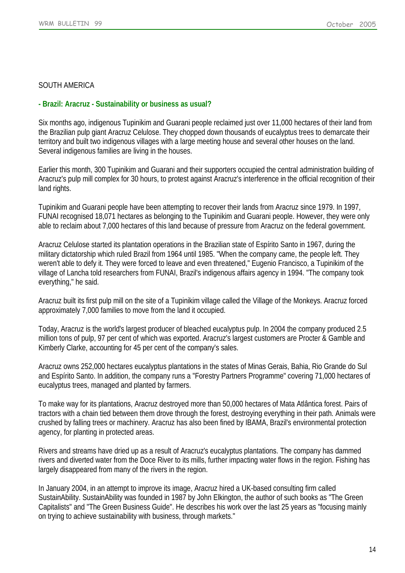### SOUTH AMERICA

### <span id="page-13-0"></span>**- Brazil: Aracruz - Sustainability or business as usual?**

Six months ago, indigenous Tupinikim and Guarani people reclaimed just over 11,000 hectares of their land from the Brazilian pulp giant Aracruz Celulose. They chopped down thousands of eucalyptus trees to demarcate their territory and built two indigenous villages with a large meeting house and several other houses on the land. Several indigenous families are living in the houses.

Earlier this month, 300 Tupinikim and Guarani and their supporters occupied the central administration building of Aracruz's pulp mill complex for 30 hours, to protest against Aracruz's interference in the official recognition of their land rights.

Tupinikim and Guarani people have been attempting to recover their lands from Aracruz since 1979. In 1997, FUNAI recognised 18,071 hectares as belonging to the Tupinikim and Guarani people. However, they were only able to reclaim about 7,000 hectares of this land because of pressure from Aracruz on the federal government.

Aracruz Celulose started its plantation operations in the Brazilian state of Espírito Santo in 1967, during the military dictatorship which ruled Brazil from 1964 until 1985. "When the company came, the people left. They weren't able to defy it. They were forced to leave and even threatened," Eugenio Francisco, a Tupinikim of the village of Lancha told researchers from FUNAI, Brazil's indigenous affairs agency in 1994. "The company took everything," he said.

Aracruz built its first pulp mill on the site of a Tupinikim village called the Village of the Monkeys. Aracruz forced approximately 7,000 families to move from the land it occupied.

Today, Aracruz is the world's largest producer of bleached eucalyptus pulp. In 2004 the company produced 2.5 million tons of pulp, 97 per cent of which was exported. Aracruz's largest customers are Procter & Gamble and Kimberly Clarke, accounting for 45 per cent of the company's sales.

Aracruz owns 252,000 hectares eucalyptus plantations in the states of Minas Gerais, Bahia, Rio Grande do Sul and Espírito Santo. In addition, the company runs a "Forestry Partners Programme" covering 71,000 hectares of eucalyptus trees, managed and planted by farmers.

To make way for its plantations, Aracruz destroyed more than 50,000 hectares of Mata Atlântica forest. Pairs of tractors with a chain tied between them drove through the forest, destroying everything in their path. Animals were crushed by falling trees or machinery. Aracruz has also been fined by IBAMA, Brazil's environmental protection agency, for planting in protected areas.

Rivers and streams have dried up as a result of Aracruz's eucalyptus plantations. The company has dammed rivers and diverted water from the Doce River to its mills, further impacting water flows in the region. Fishing has largely disappeared from many of the rivers in the region.

In January 2004, in an attempt to improve its image, Aracruz hired a UK-based consulting firm called SustainAbility. SustainAbility was founded in 1987 by John Elkington, the author of such books as "The Green Capitalists" and "The Green Business Guide". He describes his work over the last 25 years as "focusing mainly on trying to achieve sustainability with business, through markets."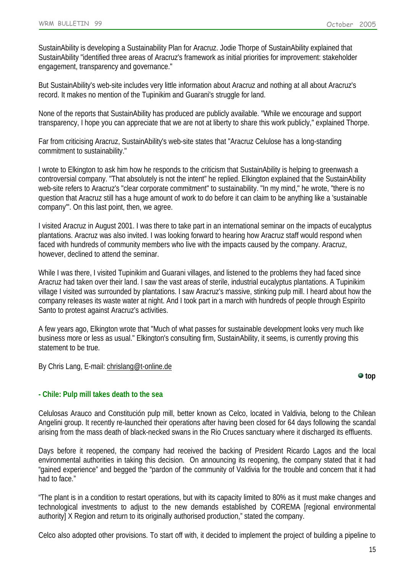SustainAbility is developing a Sustainability Plan for Aracruz. Jodie Thorpe of SustainAbility explained that SustainAbility "identified three areas of Aracruz's framework as initial priorities for improvement: stakeholder engagement, transparency and governance."

But SustainAbility's web-site includes very little information about Aracruz and nothing at all about Aracruz's record. It makes no mention of the Tupinikim and Guarani's struggle for land.

None of the reports that SustainAbility has produced are publicly available. "While we encourage and support transparency, I hope you can appreciate that we are not at liberty to share this work publicly," explained Thorpe.

Far from criticising Aracruz, SustainAbility's web-site states that "Aracruz Celulose has a long-standing commitment to sustainability."

I wrote to Elkington to ask him how he responds to the criticism that SustainAbility is helping to greenwash a controversial company. "That absolutely is not the intent" he replied. Elkington explained that the SustainAbility web-site refers to Aracruz's "clear corporate commitment" to sustainability. "In my mind," he wrote, "there is no question that Aracruz still has a huge amount of work to do before it can claim to be anything like a 'sustainable company'". On this last point, then, we agree.

I visited Aracruz in August 2001. I was there to take part in an international seminar on the impacts of eucalyptus plantations. Aracruz was also invited. I was looking forward to hearing how Aracruz staff would respond when faced with hundreds of community members who live with the impacts caused by the company. Aracruz, however, declined to attend the seminar.

While I was there, I visited Tupinikim and Guarani villages, and listened to the problems they had faced since Aracruz had taken over their land. I saw the vast areas of sterile, industrial eucalyptus plantations. A Tupinikim village I visited was surrounded by plantations. I saw Aracruz's massive, stinking pulp mill. I heard about how the company releases its waste water at night. And I took part in a march with hundreds of people through Espiríto Santo to protest against Aracruz's activities.

A few years ago, Elkington wrote that "Much of what passes for sustainable development looks very much like business more or less as usual." Elkington's consulting firm, SustainAbility, it seems, is currently proving this statement to be true.

By Chris Lang, E-mail: [chrislang@t-online.de](mailto:chrislang@t-online.de)

**top**

# <span id="page-14-0"></span>**- Chile: Pulp mill takes death to the sea**

Celulosas Arauco and Constitución pulp mill, better known as Celco, located in Valdivia, belong to the Chilean Angelini group. It recently re-launched their operations after having been closed for 64 days following the scandal arising from the mass death of black-necked swans in the Rio Cruces sanctuary where it discharged its effluents.

Days before it reopened, the company had received the backing of President Ricardo Lagos and the local environmental authorities in taking this decision. On announcing its reopening, the company stated that it had "gained experience" and begged the "pardon of the community of Valdivia for the trouble and concern that it had had to face."

"The plant is in a condition to restart operations, but with its capacity limited to 80% as it must make changes and technological investments to adjust to the new demands established by COREMA [regional environmental authority] X Region and return to its originally authorised production," stated the company.

Celco also adopted other provisions. To start off with, it decided to implement the project of building a pipeline to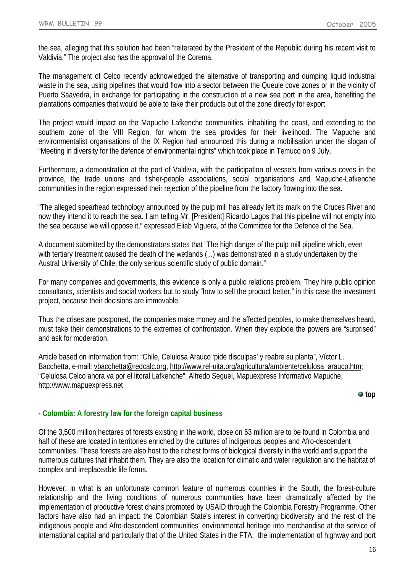the sea, alleging that this solution had been "reiterated by the President of the Republic during his recent visit to Valdivia." The project also has the approval of the Corema.

The management of Celco recently acknowledged the alternative of transporting and dumping liquid industrial waste in the sea, using pipelines that would flow into a sector between the Queule cove zones or in the vicinity of Puerto Saavedra, in exchange for participating in the construction of a new sea port in the area, benefiting the plantations companies that would be able to take their products out of the zone directly for export.

The project would impact on the Mapuche Lafkenche communities, inhabiting the coast, and extending to the southern zone of the VIII Region, for whom the sea provides for their livelihood. The Mapuche and environmentalist organisations of the IX Region had announced this during a mobilisation under the slogan of "Meeting in diversity for the defence of environmental rights" which took place in Temuco on 9 July.

Furthermore, a demonstration at the port of Valdivia, with the participation of vessels from various coves in the province, the trade unions and fisher-people associations, social organisations and Mapuche-Lafkenche communities in the region expressed their rejection of the pipeline from the factory flowing into the sea.

"The alleged spearhead technology announced by the pulp mill has already left its mark on the Cruces River and now they intend it to reach the sea. I am telling Mr. [President] Ricardo Lagos that this pipeline will not empty into the sea because we will oppose it," expressed Eliab Viguera, of the Committee for the Defence of the Sea.

A document submitted by the demonstrators states that "The high danger of the pulp mill pipeline which, even with tertiary treatment caused the death of the wetlands (...) was demonstrated in a study undertaken by the Austral University of Chile, the only serious scientific study of public domain."

For many companies and governments, this evidence is only a public relations problem. They hire public opinion consultants, scientists and social workers but to study "how to sell the product better," in this case the investment project, because their decisions are immovable.

Thus the crises are postponed, the companies make money and the affected peoples, to make themselves heard, must take their demonstrations to the extremes of confrontation. When they explode the powers are "surprised" and ask for moderation.

Article based on information from: "Chile, Celulosa Arauco 'pide disculpas' y reabre su planta", Víctor L. Bacchetta, e-mail: [vbacchetta@redcalc.org,](mailto:vbacchetta@redcalc.org) [http://www.rel-uita.org/agricultura/ambiente/celulosa\\_arauco.htm;](http://www.rel-uita.org/agricultura/ambiente/celulosa_arauco.htm) "Celulosa Celco ahora va por el litoral Lafkenche", Alfredo Seguel, Mapuexpress Informativo Mapuche, [http://www.mapuexpress.net](http://www.mapuexpress.net/)

**top**

# <span id="page-15-0"></span>**- Colombia: A forestry law for the foreign capital business**

Of the 3,500 million hectares of forests existing in the world, close on 63 million are to be found in Colombia and half of these are located in territories enriched by the cultures of indigenous peoples and Afro-descendent communities. These forests are also host to the richest forms of biological diversity in the world and support the numerous cultures that inhabit them. They are also the location for climatic and water regulation and the habitat of complex and irreplaceable life forms.

However, in what is an unfortunate common feature of numerous countries in the South, the forest-culture relationship and the living conditions of numerous communities have been dramatically affected by the implementation of productive forest chains promoted by USAID through the Colombia Forestry Programme. Other factors have also had an impact: the Colombian State's interest in converting biodiversity and the rest of the indigenous people and Afro-descendent communities' environmental heritage into merchandise at the service of international capital and particularly that of the United States in the FTA; the implementation of highway and port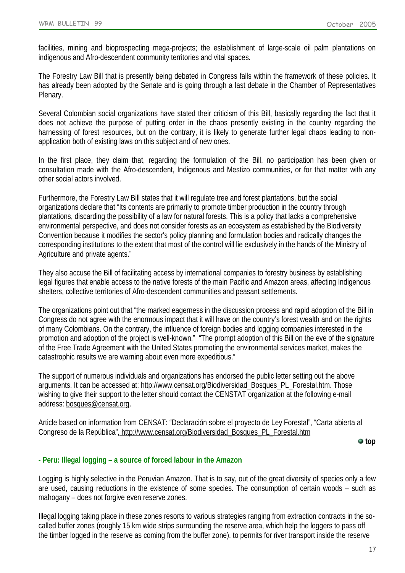facilities, mining and bioprospecting mega-projects; the establishment of large-scale oil palm plantations on indigenous and Afro-descendent community territories and vital spaces.

The Forestry Law Bill that is presently being debated in Congress falls within the framework of these policies. It has already been adopted by the Senate and is going through a last debate in the Chamber of Representatives Plenary.

Several Colombian social organizations have stated their criticism of this Bill, basically regarding the fact that it does not achieve the purpose of putting order in the chaos presently existing in the country regarding the harnessing of forest resources, but on the contrary, it is likely to generate further legal chaos leading to nonapplication both of existing laws on this subject and of new ones.

In the first place, they claim that, regarding the formulation of the Bill, no participation has been given or consultation made with the Afro-descendent, Indigenous and Mestizo communities, or for that matter with any other social actors involved.

Furthermore, the Forestry Law Bill states that it will regulate tree and forest plantations, but the social organizations declare that "Its contents are primarily to promote timber production in the country through plantations, discarding the possibility of a law for natural forests. This is a policy that lacks a comprehensive environmental perspective, and does not consider forests as an ecosystem as established by the Biodiversity Convention because it modifies the sector's policy planning and formulation bodies and radically changes the corresponding institutions to the extent that most of the control will lie exclusively in the hands of the Ministry of Agriculture and private agents."

They also accuse the Bill of facilitating access by international companies to forestry business by establishing legal figures that enable access to the native forests of the main Pacific and Amazon areas, affecting Indigenous shelters, collective territories of Afro-descendent communities and peasant settlements.

The organizations point out that "the marked eagerness in the discussion process and rapid adoption of the Bill in Congress do not agree with the enormous impact that it will have on the country's forest wealth and on the rights of many Colombians. On the contrary, the influence of foreign bodies and logging companies interested in the promotion and adoption of the project is well-known." "The prompt adoption of this Bill on the eve of the signature of the Free Trade Agreement with the United States promoting the environmental services market, makes the catastrophic results we are warning about even more expeditious."

The support of numerous individuals and organizations has endorsed the public letter setting out the above arguments. It can be accessed at: [http://www.censat.org/Biodiversidad\\_Bosques\\_PL\\_Forestal.htm.](http://www.censat.org/Biodiversidad_Bosques_PL_Forestal.htm) Those wishing to give their support to the letter should contact the CENSTAT organization at the following e-mail address: [bosques@censat.org.](mailto:bosques@censat.org)

Article based on information from CENSAT: "Declaración sobre el proyecto de Ley Forestal", "Carta abierta al Congreso de la República", [http://www.censat.org/Biodiversidad\\_Bosques\\_PL\\_Forestal.htm](http://www.censat.org/Biodiversidad_Bosques_PL_Forestal.htm)

**top**

# <span id="page-16-0"></span>**- Peru: Illegal logging – a source of forced labour in the Amazon**

Logging is highly selective in the Peruvian Amazon. That is to say, out of the great diversity of species only a few are used, causing reductions in the existence of some species. The consumption of certain woods – such as mahogany – does not forgive even reserve zones.

Illegal logging taking place in these zones resorts to various strategies ranging from extraction contracts in the socalled buffer zones (roughly 15 km wide strips surrounding the reserve area, which help the loggers to pass off the timber logged in the reserve as coming from the buffer zone), to permits for river transport inside the reserve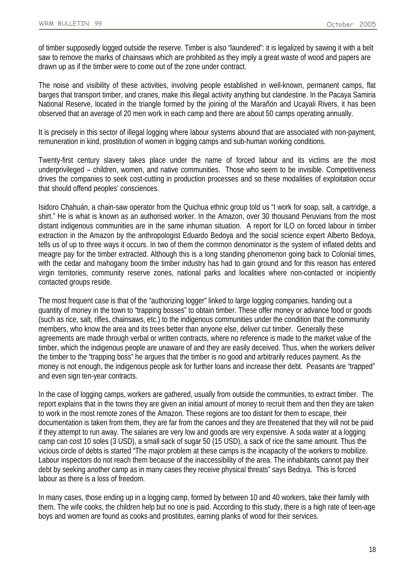of timber supposedly logged outside the reserve. Timber is also "laundered": it is legalized by sawing it with a belt saw to remove the marks of chainsaws which are prohibited as they imply a great waste of wood and papers are drawn up as if the timber were to come out of the zone under contract.

The noise and visibility of these activities, involving people established in well-known, permanent camps, flat barges that transport timber, and cranes, make this illegal activity anything but clandestine. In the Pacaya Samiria National Reserve, located in the triangle formed by the joining of the Marañón and Ucayali Rivers, it has been observed that an average of 20 men work in each camp and there are about 50 camps operating annually.

It is precisely in this sector of illegal logging where labour systems abound that are associated with non-payment, remuneration in kind, prostitution of women in logging camps and sub-human working conditions.

Twenty-first century slavery takes place under the name of forced labour and its victims are the most underprivileged – children, women, and native communities. Those who seem to be invisible. Competitiveness drives the companies to seek cost-cutting in production processes and so these modalities of exploitation occur that should offend peoples' consciences.

Isidoro Chahuán, a chain-saw operator from the Quichua ethnic group told us "I work for soap, salt, a cartridge, a shirt." He is what is known as an authorised worker. In the Amazon, over 30 thousand Peruvians from the most distant indigenous communities are in the same inhuman situation. A report for ILO on forced labour in timber extraction in the Amazon by the anthropologist Eduardo Bedoya and the social science expert Alberto Bedoya, tells us of up to three ways it occurs. In two of them the common denominator is the system of inflated debts and meagre pay for the timber extracted. Although this is a long standing phenomenon going back to Colonial times, with the cedar and mahogany boom the timber industry has had to gain ground and for this reason has entered virgin territories, community reserve zones, national parks and localities where non-contacted or incipiently contacted groups reside.

The most frequent case is that of the "authorizing logger" linked to large logging companies, handing out a quantity of money in the town to "trapping bosses" to obtain timber. These offer money or advance food or goods (such as rice, salt, rifles, chainsaws, etc.) to the indigenous communities under the condition that the community members, who know the area and its trees better than anyone else, deliver cut timber. Generally these agreements are made through verbal or written contracts, where no reference is made to the market value of the timber, which the indigenous people are unaware of and they are easily deceived. Thus, when the workers deliver the timber to the "trapping boss" he argues that the timber is no good and arbitrarily reduces payment. As the money is not enough, the indigenous people ask for further loans and increase their debt. Peasants are "trapped" and even sign ten-year contracts.

In the case of logging camps, workers are gathered, usually from outside the communities, to extract timber. The report explains that in the towns they are given an initial amount of money to recruit them and then they are taken to work in the most remote zones of the Amazon. These regions are too distant for them to escape, their documentation is taken from them, they are far from the canoes and they are threatened that they will not be paid if they attempt to run away. The salaries are very low and goods are very expensive. A soda water at a logging camp can cost 10 soles (3 USD), a small sack of sugar 50 (15 USD), a sack of rice the same amount. Thus the vicious circle of debts is started "The major problem at these camps is the incapacity of the workers to mobilize. Labour inspectors do not reach them because of the inaccessibility of the area. The inhabitants cannot pay their debt by seeking another camp as in many cases they receive physical threats" says Bedoya. This is forced labour as there is a loss of freedom.

In many cases, those ending up in a logging camp, formed by between 10 and 40 workers, take their family with them. The wife cooks, the children help but no one is paid. According to this study, there is a high rate of teen-age boys and women are found as cooks and prostitutes, earning planks of wood for their services.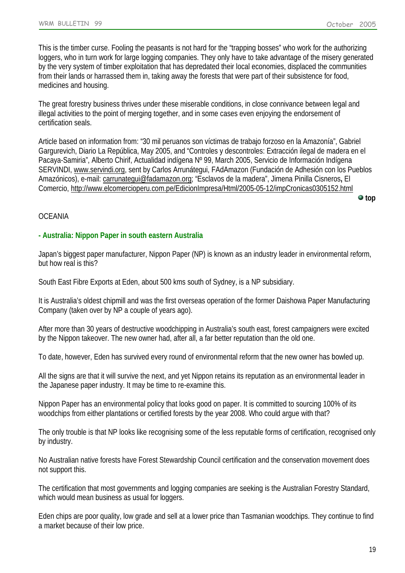This is the timber curse. Fooling the peasants is not hard for the "trapping bosses" who work for the authorizing loggers, who in turn work for large logging companies. They only have to take advantage of the misery generated by the very system of timber exploitation that has depredated their local economies, displaced the communities from their lands or harrassed them in, taking away the forests that were part of their subsistence for food, medicines and housing.

The great forestry business thrives under these miserable conditions, in close connivance between legal and illegal activities to the point of merging together, and in some cases even enjoying the endorsement of certification seals.

Article based on information from: "30 mil peruanos son víctimas de trabajo forzoso en la Amazonía", Gabriel Gargurevich, Diario La República, May 2005, and "Controles y descontroles: Extracción ilegal de madera en el Pacaya-Samiria", Alberto Chirif, Actualidad indígena Nº 99, March 2005, Servicio de Información Indígena SERVINDI, [www.servindi.org,](http://www.servindi.org/) sent by Carlos Arrunátegui, FAdAmazon (Fundación de Adhesión con los Pueblos Amazónicos), e-mail: [carrunategui@fadamazon.org;](mailto:carrunategui@fadamazon.org) "Esclavos de la madera", Jimena Pinilla Cisneros**,** El Comercio,<http://www.elcomercioperu.com.pe/EdicionImpresa/Html/2005-05-12/impCronicas0305152.html> **top**

### **OCEANIA**

### <span id="page-18-0"></span>**- Australia: Nippon Paper in south eastern Australia**

Japan's biggest paper manufacturer, Nippon Paper (NP) is known as an industry leader in environmental reform, but how real is this?

South East Fibre Exports at Eden, about 500 kms south of Sydney, is a NP subsidiary.

It is Australia's oldest chipmill and was the first overseas operation of the former Daishowa Paper Manufacturing Company (taken over by NP a couple of years ago).

After more than 30 years of destructive woodchipping in Australia's south east, forest campaigners were excited by the Nippon takeover. The new owner had, after all, a far better reputation than the old one.

To date, however, Eden has survived every round of environmental reform that the new owner has bowled up.

All the signs are that it will survive the next, and yet Nippon retains its reputation as an environmental leader in the Japanese paper industry. It may be time to re-examine this.

Nippon Paper has an environmental policy that looks good on paper. It is committed to sourcing 100% of its woodchips from either plantations or certified forests by the year 2008. Who could argue with that?

The only trouble is that NP looks like recognising some of the less reputable forms of certification, recognised only by industry.

No Australian native forests have Forest Stewardship Council certification and the conservation movement does not support this.

The certification that most governments and logging companies are seeking is the Australian Forestry Standard, which would mean business as usual for loggers.

Eden chips are poor quality, low grade and sell at a lower price than Tasmanian woodchips. They continue to find a market because of their low price.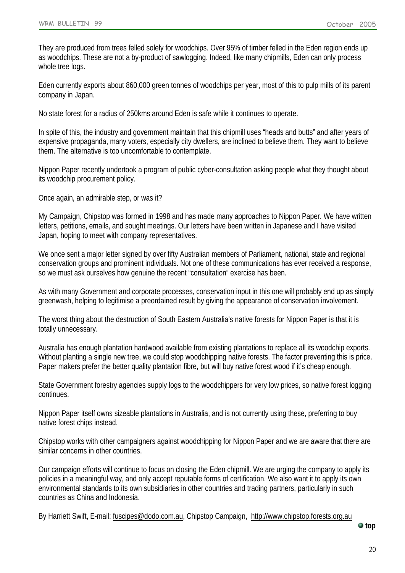They are produced from trees felled solely for woodchips. Over 95% of timber felled in the Eden region ends up as woodchips. These are not a by-product of sawlogging. Indeed, like many chipmills, Eden can only process whole tree logs.

Eden currently exports about 860,000 green tonnes of woodchips per year, most of this to pulp mills of its parent company in Japan.

No state forest for a radius of 250kms around Eden is safe while it continues to operate.

In spite of this, the industry and government maintain that this chipmill uses "heads and butts" and after years of expensive propaganda, many voters, especially city dwellers, are inclined to believe them. They want to believe them. The alternative is too uncomfortable to contemplate.

Nippon Paper recently undertook a program of public cyber-consultation asking people what they thought about its woodchip procurement policy.

Once again, an admirable step, or was it?

My Campaign, Chipstop was formed in 1998 and has made many approaches to Nippon Paper. We have written letters, petitions, emails, and sought meetings. Our letters have been written in Japanese and I have visited Japan, hoping to meet with company representatives.

We once sent a major letter signed by over fifty Australian members of Parliament, national, state and regional conservation groups and prominent individuals. Not one of these communications has ever received a response, so we must ask ourselves how genuine the recent "consultation" exercise has been.

As with many Government and corporate processes, conservation input in this one will probably end up as simply greenwash, helping to legitimise a preordained result by giving the appearance of conservation involvement.

The worst thing about the destruction of South Eastern Australia's native forests for Nippon Paper is that it is totally unnecessary.

Australia has enough plantation hardwood available from existing plantations to replace all its woodchip exports. Without planting a single new tree, we could stop woodchipping native forests. The factor preventing this is price. Paper makers prefer the better quality plantation fibre, but will buy native forest wood if it's cheap enough.

State Government forestry agencies supply logs to the woodchippers for very low prices, so native forest logging continues.

Nippon Paper itself owns sizeable plantations in Australia, and is not currently using these, preferring to buy native forest chips instead.

Chipstop works with other campaigners against woodchipping for Nippon Paper and we are aware that there are similar concerns in other countries.

Our campaign efforts will continue to focus on closing the Eden chipmill. We are urging the company to apply its policies in a meaningful way, and only accept reputable forms of certification. We also want it to apply its own environmental standards to its own subsidiaries in other countries and trading partners, particularly in such countries as China and Indonesia.

By Harriett Swift, E-mail: [fuscipes@dodo.com.au,](mailto:fuscipes@dodo.com.au) Chipstop Campaign, [http://www.chipstop.forests.org.au](http://www.chipstop.forests.org.au/)

**top**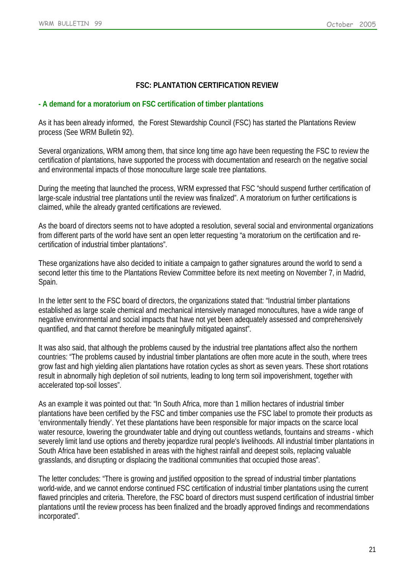# <span id="page-20-0"></span>**FSC: PLANTATION CERTIFICATION REVIEW**

## **- A demand for a moratorium on FSC certification of timber plantations**

As it has been already informed, the Forest Stewardship Council (FSC) has started the Plantations Review process (See WRM Bulletin 92).

Several organizations, WRM among them, that since long time ago have been requesting the FSC to review the certification of plantations, have supported the process with documentation and research on the negative social and environmental impacts of those monoculture large scale tree plantations.

During the meeting that launched the process, WRM expressed that FSC "should suspend further certification of large-scale industrial tree plantations until the review was finalized". A moratorium on further certifications is claimed, while the already granted certifications are reviewed.

As the board of directors seems not to have adopted a resolution, several social and environmental organizations from different parts of the world have sent an open letter requesting "a moratorium on the certification and recertification of industrial timber plantations".

These organizations have also decided to initiate a campaign to gather signatures around the world to send a second letter this time to the Plantations Review Committee before its next meeting on November 7, in Madrid, Spain.

In the letter sent to the FSC board of directors, the organizations stated that: "Industrial timber plantations established as large scale chemical and mechanical intensively managed monocultures, have a wide range of negative environmental and social impacts that have not yet been adequately assessed and comprehensively quantified, and that cannot therefore be meaningfully mitigated against".

It was also said, that although the problems caused by the industrial tree plantations affect also the northern countries: "The problems caused by industrial timber plantations are often more acute in the south, where trees grow fast and high yielding alien plantations have rotation cycles as short as seven years. These short rotations result in abnormally high depletion of soil nutrients, leading to long term soil impoverishment, together with accelerated top-soil losses".

As an example it was pointed out that: "In South Africa, more than 1 million hectares of industrial timber plantations have been certified by the FSC and timber companies use the FSC label to promote their products as 'environmentally friendly'. Yet these plantations have been responsible for major impacts on the scarce local water resource, lowering the groundwater table and drying out countless wetlands, fountains and streams - which severely limit land use options and thereby jeopardize rural people's livelihoods. All industrial timber plantations in South Africa have been established in areas with the highest rainfall and deepest soils, replacing valuable grasslands, and disrupting or displacing the traditional communities that occupied those areas".

The letter concludes: "There is growing and justified opposition to the spread of industrial timber plantations world-wide, and we cannot endorse continued FSC certification of industrial timber plantations using the current flawed principles and criteria. Therefore, the FSC board of directors must suspend certification of industrial timber plantations until the review process has been finalized and the broadly approved findings and recommendations incorporated".